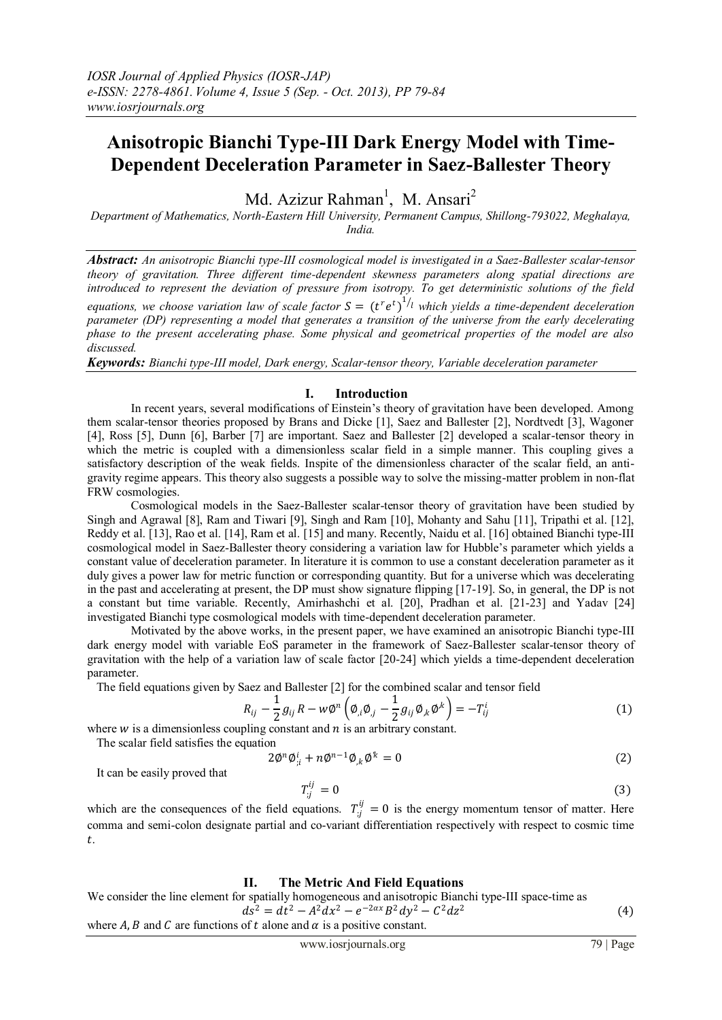# **Anisotropic Bianchi Type-III Dark Energy Model with Time-Dependent Deceleration Parameter in Saez-Ballester Theory**

Md. Azizur Rahman<sup>1</sup>, M. Ansari<sup>2</sup>

*Department of Mathematics, North-Eastern Hill University, Permanent Campus, Shillong-793022, Meghalaya, India.*

*Abstract: An anisotropic Bianchi type-III cosmological model is investigated in a Saez-Ballester scalar-tensor theory of gravitation. Three different time-dependent skewness parameters along spatial directions are introduced to represent the deviation of pressure from isotropy. To get deterministic solutions of the field*  equations, we choose variation law of scale factor  $S = (t^r e^t)^{1/2}$  which yields a time-dependent deceleration *parameter (DP) representing a model that generates a transition of the universe from the early decelerating phase to the present accelerating phase. Some physical and geometrical properties of the model are also discussed.*

*Keywords: Bianchi type-III model, Dark energy, Scalar-tensor theory, Variable deceleration parameter*

### **I. Introduction**

In recent years, several modifications of Einstein's theory of gravitation have been developed. Among them scalar-tensor theories proposed by Brans and Dicke [1], Saez and Ballester [2], Nordtvedt [3], Wagoner [4], Ross [5], Dunn [6], Barber [7] are important. Saez and Ballester [2] developed a scalar-tensor theory in which the metric is coupled with a dimensionless scalar field in a simple manner. This coupling gives a satisfactory description of the weak fields. Inspite of the dimensionless character of the scalar field, an antigravity regime appears. This theory also suggests a possible way to solve the missing-matter problem in non-flat FRW cosmologies.

 Cosmological models in the Saez-Ballester scalar-tensor theory of gravitation have been studied by Singh and Agrawal [8], Ram and Tiwari [9], Singh and Ram [10], Mohanty and Sahu [11], Tripathi et al. [12], Reddy et al. [13], Rao et al. [14], Ram et al. [15] and many. Recently, Naidu et al. [16] obtained Bianchi type-III cosmological model in Saez-Ballester theory considering a variation law for Hubble's parameter which yields a constant value of deceleration parameter. In literature it is common to use a constant deceleration parameter as it duly gives a power law for metric function or corresponding quantity. But for a universe which was decelerating in the past and accelerating at present, the DP must show signature flipping [17-19]. So, in general, the DP is not a constant but time variable. Recently, Amirhashchi et al. [20], Pradhan et al. [21-23] and Yadav [24] investigated Bianchi type cosmological models with time-dependent deceleration parameter.

 Motivated by the above works, in the present paper, we have examined an anisotropic Bianchi type-III dark energy model with variable EoS parameter in the framework of Saez-Ballester scalar-tensor theory of gravitation with the help of a variation law of scale factor [20-24] which yields a time-dependent deceleration parameter.

The field equations given by Saez and Ballester [2] for the combined scalar and tensor field

$$
R_{ij} - \frac{1}{2} g_{ij} R - w \phi^n \left( \phi_{,i} \phi_{,j} - \frac{1}{2} g_{ij} \phi_{,k} \phi^{,k} \right) = -T_{ij}^i \tag{1}
$$

where  $w$  is a dimensionless coupling constant and  $n$  is an arbitrary constant.

The scalar field satisfies the equation

$$
2\varnothing^n \varnothing_{;i}^i + n\varnothing^{n-1} \varnothing_{,k} \varnothing^k = 0 \tag{2}
$$

It can be easily proved that

$$
T_{;j}^{ij} = 0 \tag{3}
$$

which are the consequences of the field equations.  $T_{i j}^{i j} = 0$  is the energy momentum tensor of matter. Here comma and semi-colon designate partial and co-variant differentiation respectively with respect to cosmic time .

## **II. The Metric And Field Equations**

We consider the line element for spatially homogeneous and anisotropic Bianchi type-III space-time as  $ds^2 = dt^2 - A^2 dx^2 - e^{-2\alpha x} B^2 dy^2 - C^2 dz^2$ (4) where A, B and C are functions of t alone and  $\alpha$  is a positive constant.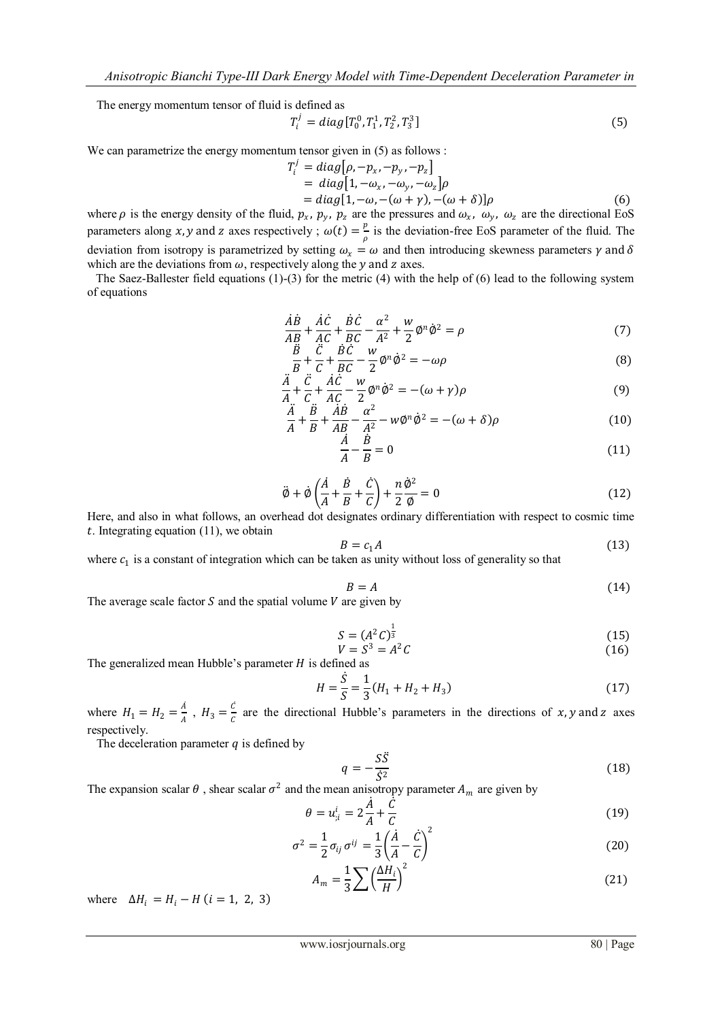The energy momentum tensor of fluid is defined as

$$
T_i^j = diag[T_0^0, T_1^1, T_2^2, T_3^3]
$$
\n(5)

We can parametrize the energy momentum tensor given in  $(5)$  as follows :

$$
T_i^j = diag[\rho, -p_x, -p_y, -p_z]
$$
  
=  $diag[1, -\omega_x, -\omega_y, -\omega_z]\rho$   
=  $diag[1, -\omega, -(\omega + \gamma), -(\omega + \delta)]\rho$  (6)

where  $\rho$  is the energy density of the fluid,  $p_x$ ,  $p_y$ ,  $p_z$  are the pressures and  $\omega_x$ ,  $\omega_y$ ,  $\omega_z$  are the directional EoS parameters along x, y and z axes respectively ;  $\omega(t) = \frac{p}{2}$  $\frac{p}{\rho}$  is the deviation-free EoS parameter of the fluid. The deviation from isotropy is parametrized by setting  $\omega_x = \omega$  and then introducing skewness parameters  $\gamma$  and  $\delta$ which are the deviations from  $\omega$ , respectively along the y and z axes.

 The Saez-Ballester field equations (1)-(3) for the metric (4) with the help of (6) lead to the following system of equations

$$
\frac{\dot{A}\dot{B}}{AB} + \frac{\dot{A}\dot{C}}{AC} + \frac{\dot{B}\dot{C}}{BC} - \frac{\alpha^2}{A^2} + \frac{w}{2}\phi^n\dot{\phi}^2 = \rho
$$
\n<sup>(7)</sup>

$$
\frac{\ddot{B}}{B} + \frac{\ddot{C}}{C} + \frac{\dot{B}\dot{C}}{BC} - \frac{w}{2}\phi^n \dot{\phi}^2 = -\omega\rho
$$
\n(8)

$$
\frac{\ddot{A}}{A} + \frac{\ddot{C}}{C} + \frac{\dot{A}\dot{C}}{AC} - \frac{w}{2}\phi^n \dot{\phi}^2 = -(\omega + \gamma)\rho
$$
\n(9)

$$
\frac{\ddot{A}}{A} + \frac{\ddot{B}}{B} + \frac{\dot{A}\dot{B}}{AB} - \frac{\alpha^2}{A^2} - w\phi^n \dot{\phi}^2 = -(\omega + \delta)\rho
$$
\n(10)

$$
\frac{A}{A} - \frac{B}{B} = 0\tag{11}
$$

$$
\ddot{\phi} + \dot{\phi} \left( \frac{\dot{A}}{A} + \frac{\dot{B}}{B} + \frac{\dot{C}}{C} \right) + \frac{n}{2} \frac{\dot{\phi}^2}{\phi} = 0
$$
\n(12)

Here, and also in what follows, an overhead dot designates ordinary differentiation with respect to cosmic time  $t$ . Integrating equation (11), we obtain

$$
B = c_1 A \tag{13}
$$

where  $c_1$  is a constant of integration which can be taken as unity without loss of generality so that

$$
B = A \tag{14}
$$

The average scale factor  $S$  and the spatial volume  $V$  are given by

$$
S = (A^2 C)^{\frac{1}{3}} \tag{15}
$$

$$
V = S^3 = A^2 C \tag{16}
$$

The generalized mean Hubble's parameter  $H$  is defined as

$$
H = \frac{\dot{S}}{S} = \frac{1}{3}(H_1 + H_2 + H_3)
$$
\n(17)

where  $H_1 = H_2 = \frac{A}{4}$  $\frac{A}{A}$ ,  $H_3 = \frac{C}{C}$  $\frac{c}{c}$  are the directional Hubble's parameters in the directions of x, y and z axes respectively.

The deceleration parameter  $q$  is defined by

$$
q = -\frac{S\ddot{S}}{\dot{S}^2} \tag{18}
$$

The expansion scalar  $\theta$ , shear scalar  $\sigma^2$  and the mean anisotropy parameter  $A_m$  are given by

$$
\theta = u_{i}^{i} = 2\frac{\dot{A}}{A} + \frac{\dot{C}}{C}
$$
\n(19)

$$
\sigma^2 = \frac{1}{2}\sigma_{ij}\,\sigma^{ij} = \frac{1}{3}\left(\frac{\dot{A}}{A} - \frac{\dot{C}}{C}\right)^2\tag{20}
$$

$$
A_m = \frac{1}{3} \sum \left(\frac{\Delta H_i}{H}\right)^2 \tag{21}
$$

where  $\Delta H_i = H_i - H$  (*i* = 1, 2, 3)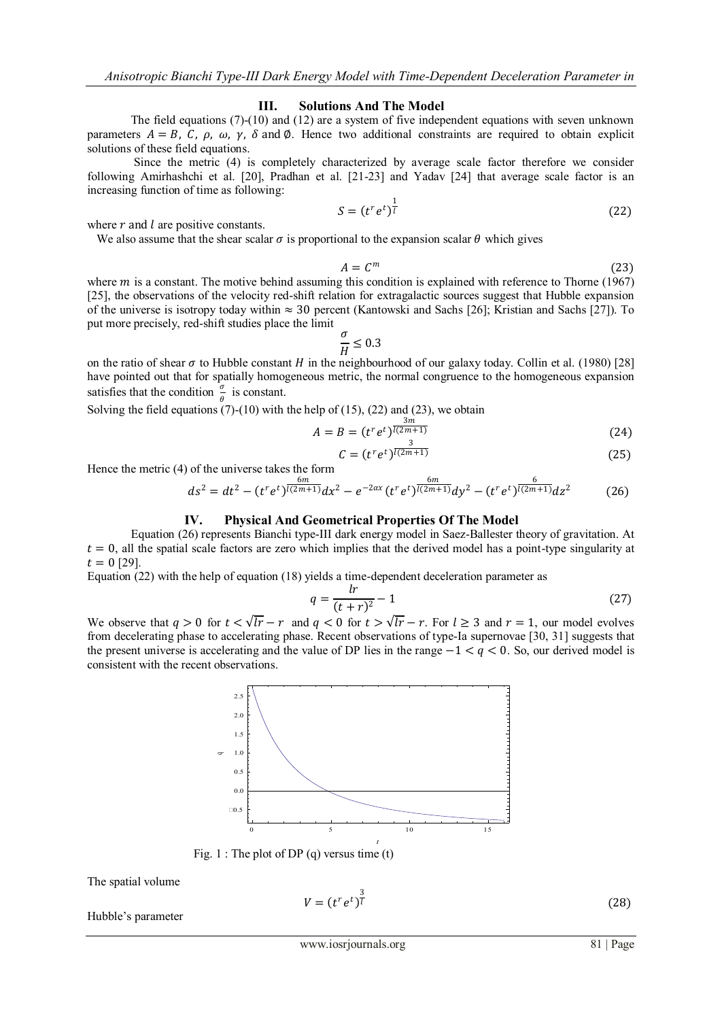#### **III. Solutions And The Model**

The field equations (7)-(10) and (12) are a system of five independent equations with seven unknown parameters  $A = B$ , C,  $\rho$ ,  $\omega$ ,  $\gamma$ ,  $\delta$  and  $\phi$ . Hence two additional constraints are required to obtain explicit solutions of these field equations.

 Since the metric (4) is completely characterized by average scale factor therefore we consider following Amirhashchi et al. [20], Pradhan et al. [21-23] and Yadav [24] that average scale factor is an increasing function of time as following:

$$
S = (t^r e^t)^{\frac{1}{l}} \tag{22}
$$

where  $r$  and  $l$  are positive constants.

We also assume that the shear scalar  $\sigma$  is proportional to the expansion scalar  $\theta$  which gives

$$
A = C^m \tag{23}
$$

where  $m$  is a constant. The motive behind assuming this condition is explained with reference to Thorne (1967) [25], the observations of the velocity red-shift relation for extragalactic sources suggest that Hubble expansion of the universe is isotropy today within ≈ 30 percent (Kantowski and Sachs [26]; Kristian and Sachs [27]). To put more precisely, red-shift studies place the limit

$$
\frac{\sigma}{H} \leq 0.3
$$

on the ratio of shear  $\sigma$  to Hubble constant *H* in the neighbourhood of our galaxy today. Collin et al. (1980) [28] have pointed out that for spatially homogeneous metric, the normal congruence to the homogeneous expansion satisfies that the condition  $\frac{\sigma}{\theta}$  is constant.

Solving the field equations  $(7)$ - $(10)$  with the help of  $(15)$ ,  $(22)$  and  $(23)$ , we obtain

$$
A = B = (t^r e^t)^{\frac{3m}{l(2m+1)}}
$$
 (24)

$$
C = (t^r e^t)^{\overline{l(2m+1)}} \tag{25}
$$

Hence the metric (4) of the universe takes the form

$$
ds^{2} = dt^{2} - (t^{r}e^{t})^{\frac{6m}{l(2m+1)}}dx^{2} - e^{-2\alpha x}(t^{r}e^{t})^{\frac{6m}{l(2m+1)}}dy^{2} - (t^{r}e^{t})^{\frac{6}{l(2m+1)}}dz^{2}
$$
(26)

# **IV. Physical And Geometrical Properties Of The Model**

Equation (26) represents Bianchi type-III dark energy model in Saez-Ballester theory of gravitation. At  $t = 0$ , all the spatial scale factors are zero which implies that the derived model has a point-type singularity at  $t = 0$  [29].

Equation  $(22)$  with the help of equation (18) yields a time-dependent deceleration parameter as

$$
q = \frac{lr}{(t+r)^2} - 1\tag{27}
$$

We observe that  $q > 0$  for  $t < \sqrt{lr} - r$  and  $q < 0$  for  $t > \sqrt{lr} - r$ . For  $l \ge 3$  and  $r = 1$ , our model evolves from decelerating phase to accelerating phase. Recent observations of type-Ia supernovae [30, 31] suggests that the present universe is accelerating and the value of DP lies in the range  $-1 < q < 0$ . So, our derived model is consistent with the recent observations.



Fig. 1 : The plot of DP (q) versus time (t)

The spatial volume

$$
V = (t^r e^t)^{\frac{3}{l}} \tag{28}
$$

Hubble's parameter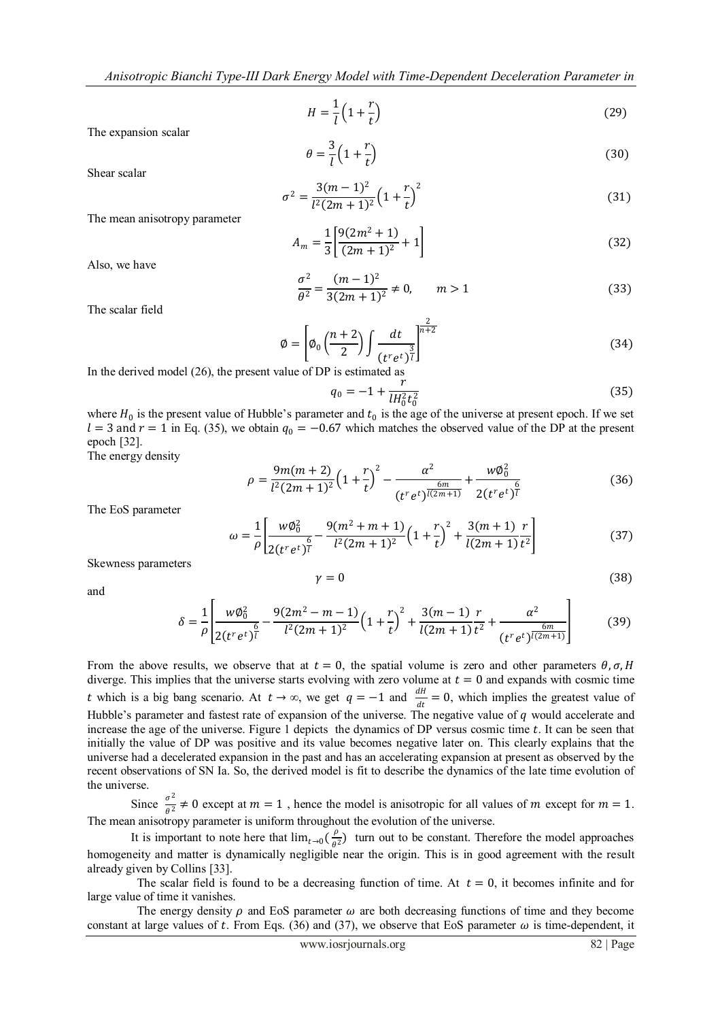$$
H = \frac{1}{l} \left( 1 + \frac{r}{t} \right) \tag{29}
$$

The expansion scalar

$$
\theta = \frac{3}{l} \left( 1 + \frac{r}{t} \right) \tag{30}
$$

Shear scalar

$$
\sigma^2 = \frac{3(m-1)^2}{l^2(2m+1)^2} \left(1 + \frac{r}{t}\right)^2
$$
\n(31)

The mean anisotropy parameter

$$
A_m = \frac{1}{3} \left[ \frac{9(2m^2 + 1)}{(2m + 1)^2} + 1 \right]
$$
 (32)

Also, we have

$$
\frac{\sigma^2}{\theta^2} = \frac{(m-1)^2}{3(2m+1)^2} \neq 0, \qquad m > 1
$$
\n(33)

The scalar field

$$
\varnothing = \left[ \varnothing_0 \left( \frac{n+2}{2} \right) \int \frac{dt}{\left( t^r e^t \right)^{\frac{2}{l}}} \right]^{\frac{2}{n+2}} \tag{34}
$$

In the derived model (26), the present value of DP is estimated as

$$
q_0 = -1 + \frac{r}{lH_0^2 t_0^2} \tag{35}
$$

where  $H_0$  is the present value of Hubble's parameter and  $t_0$  is the age of the universe at present epoch. If we set  $l = 3$  and  $r = 1$  in Eq. (35), we obtain  $q_0 = -0.67$  which matches the observed value of the DP at the present epoch [32].

The energy density

$$
\rho = \frac{9m(m+2)}{l^2(2m+1)^2} \left(1 + \frac{r}{t}\right)^2 - \frac{\alpha^2}{(t^r e^t)^{\frac{6m}{l(2m+1)}}} + \frac{w\phi_0^2}{2(t^r e^t)^{\frac{6}{l}}}
$$
(36)

The EoS parameter

$$
\omega = \frac{1}{\rho} \left[ \frac{w\phi_0^2}{2(t^r e^t)^{\frac{6}{l}}} - \frac{9(m^2 + m + 1)}{l^2 (2m + 1)^2} \left( 1 + \frac{r}{t} \right)^2 + \frac{3(m + 1)}{l(2m + 1)} \frac{r}{t^2} \right]
$$
(37)

Skewness parameters

$$
\gamma = 0 \tag{38}
$$

and

$$
\delta = \frac{1}{\rho} \left[ \frac{w\phi_0^2}{2(t^r e^t)^{\frac{6}{l}}} - \frac{9(2m^2 - m - 1)}{l^2 (2m + 1)^2} \left( 1 + \frac{r}{t} \right)^2 + \frac{3(m - 1)}{l(2m + 1)} \frac{r}{t^2} + \frac{\alpha^2}{(t^r e^t)^{\frac{6m}{l(2m + 1)}}} \right] \tag{39}
$$

From the above results, we observe that at  $t = 0$ , the spatial volume is zero and other parameters  $\theta$ ,  $\sigma$ , H diverge. This implies that the universe starts evolving with zero volume at  $t = 0$  and expands with cosmic time t which is a big bang scenario. At  $t \to \infty$ , we get  $q = -1$  and  $\frac{dH}{dt} = 0$ , which implies the greatest value of Hubble's parameter and fastest rate of expansion of the universe. The negative value of  $q$  would accelerate and increase the age of the universe. Figure 1 depicts the dynamics of  $DP$  versus cosmic time  $t$ . It can be seen that initially the value of DP was positive and its value becomes negative later on. This clearly explains that the universe had a decelerated expansion in the past and has an accelerating expansion at present as observed by the recent observations of SN Ia. So, the derived model is fit to describe the dynamics of the late time evolution of the universe.

Since  $\frac{\sigma^2}{\sigma^2}$  $\frac{\partial}{\partial t} \neq 0$  except at  $m = 1$ , hence the model is anisotropic for all values of m except for  $m = 1$ . The mean anisotropy parameter is uniform throughout the evolution of the universe.

It is important to note here that  $\lim_{t\to 0}$   $\left(\frac{\rho}{\rho}\right)$  $\frac{\rho}{\theta^2}$  turn out to be constant. Therefore the model approaches homogeneity and matter is dynamically negligible near the origin. This is in good agreement with the result already given by Collins [33].

The scalar field is found to be a decreasing function of time. At  $t = 0$ , it becomes infinite and for large value of time it vanishes.

The energy density  $\rho$  and EoS parameter  $\omega$  are both decreasing functions of time and they become constant at large values of t. From Eqs. (36) and (37), we observe that EoS parameter  $\omega$  is time-dependent, it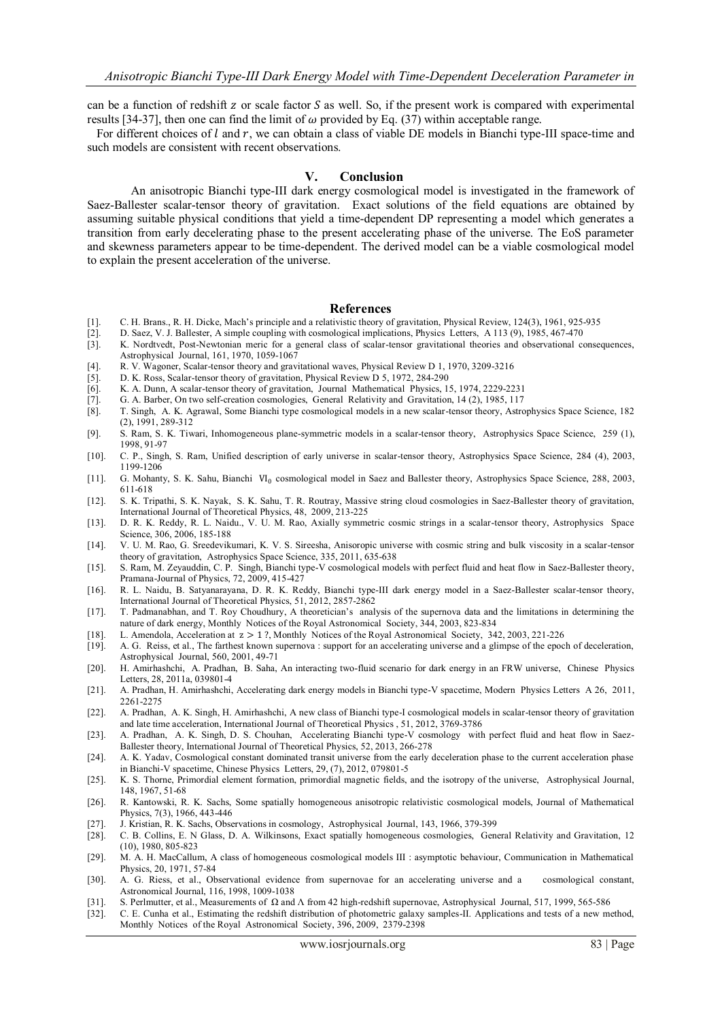can be a function of redshift z or scale factor S as well. So, if the present work is compared with experimental results [34-37], then one can find the limit of  $\omega$  provided by Eq. (37) within acceptable range.

For different choices of  $l$  and  $r$ , we can obtain a class of viable DE models in Bianchi type-III space-time and such models are consistent with recent observations.

#### **V. Conclusion**

An anisotropic Bianchi type-III dark energy cosmological model is investigated in the framework of Saez-Ballester scalar-tensor theory of gravitation. Exact solutions of the field equations are obtained by assuming suitable physical conditions that yield a time-dependent DP representing a model which generates a transition from early decelerating phase to the present accelerating phase of the universe. The EoS parameter and skewness parameters appear to be time-dependent. The derived model can be a viable cosmological model to explain the present acceleration of the universe.

#### **References**

- [1]. C. H. Brans., R. H. Dicke, Mach's principle and a relativistic theory of gravitation, Physical Review, 124(3), 1961, 925-935
- [2]. D. Saez, V. J. Ballester, A simple coupling with cosmological implications, Physics Letters, A 113 (9), 1985, 467-470
- [3]. K. Nordtvedt, Post-Newtonian meric for a general class of scalar-tensor gravitational theories and observational consequences, Astrophysical Journal, 161, 1970, 1059-1067
- [4]. R. V. Wagoner, Scalar-tensor theory and gravitational waves, Physical Review D 1, 1970, 3209-3216
- [5]. D. K. Ross, Scalar-tensor theory of gravitation, Physical Review D 5, 1972, 284-290
- [6]. K. A. Dunn, A scalar-tensor theory of gravitation, Journal Mathematical Physics, 15, 1974, 2229-2231
- [7]. G. A. Barber, On two self-creation cosmologies, General Relativity and Gravitation, 14 (2), 1985, 117
- [8]. T. Singh, A. K. Agrawal, Some Bianchi type cosmological models in a new scalar-tensor theory, Astrophysics Space Science, 182 (2), 1991, 289-312
- [9]. S. Ram, S. K. Tiwari, Inhomogeneous plane-symmetric models in a scalar-tensor theory, Astrophysics Space Science, 259 (1), 1998, 91-97
- [10]. C. P., Singh, S. Ram, Unified description of early universe in scalar-tensor theory, Astrophysics Space Science, 284 (4), 2003, 1199-1206
- [11]. G. Mohanty, S. K. Sahu, Bianchi VI<sub>0</sub> cosmological model in Saez and Ballester theory, Astrophysics Space Science, 288, 2003, 611-618
- [12]. S. K. Tripathi, S. K. Nayak, S. K. Sahu, T. R. Routray, Massive string cloud cosmologies in Saez-Ballester theory of gravitation, International Journal of Theoretical Physics, 48, 2009, 213-225
- [13]. D. R. K. Reddy, R. L. Naidu., V. U. M. Rao, Axially symmetric cosmic strings in a scalar-tensor theory, Astrophysics Space Science, 306, 2006, 185-188
- [14]. V. U. M. Rao, G. Sreedevikumari, K. V. S. Sireesha, Anisoropic universe with cosmic string and bulk viscosity in a scalar-tensor theory of gravitation, Astrophysics Space Science, 335, 2011, 635-638
- [15]. S. Ram, M. Zeyauddin, C. P. Singh, Bianchi type-V cosmological models with perfect fluid and heat flow in Saez-Ballester theory, Pramana-Journal of Physics, 72, 2009, 415-427
- [16]. R. L. Naidu, B. Satyanarayana, D. R. K. Reddy, Bianchi type-III dark energy model in a Saez-Ballester scalar-tensor theory, International Journal of Theoretical Physics, 51, 2012, 2857-2862
- [17]. T. Padmanabhan, and T. Roy Choudhury, A theoretician's analysis of the supernova data and the limitations in determining the nature of dark energy, Monthly Notices of the Royal Astronomical Society, 344, 2003, 823-834
- [18]. L. Amendola, Acceleration at  $z > 1$ ?, Monthly Notices of the Royal Astronomical Society, 342, 2003, 221-226 [19]. A. G. Reiss, et al., The farthest known supernova : support for an accelerating universe and a glimps
- [19]. A. G. Reiss, et al., The farthest known supernova : support for an accelerating universe and a glimpse of the epoch of deceleration, Astrophysical Journal, 560, 2001, 49-71
- [20]. H. Amirhashchi, A. Pradhan, B. Saha, An interacting two-fluid scenario for dark energy in an FRW universe, Chinese Physics Letters, 28, 2011a, 039801-4
- [21]. A. Pradhan, H. Amirhashchi, Accelerating dark energy models in Bianchi type-V spacetime, Modern Physics Letters A 26, 2011, 2261-2275
- [22]. A. Pradhan, A. K. Singh, H. Amirhashchi, A new class of Bianchi type-I cosmological models in scalar-tensor theory of gravitation and late time acceleration, International Journal of Theoretical Physics , 51, 2012, 3769-3786
- [23]. A. Pradhan, A. K. Singh, D. S. Chouhan, Accelerating Bianchi type-V cosmology with perfect fluid and heat flow in Saez-Ballester theory, International Journal of Theoretical Physics, 52, 2013, 266-278
- [24]. A. K. Yadav, Cosmological constant dominated transit universe from the early deceleration phase to the current acceleration phase in Bianchi-V spacetime, Chinese Physics Letters, 29, (7), 2012, 079801-5
- [25]. K. S. Thorne, Primordial element formation, primordial magnetic fields, and the isotropy of the universe, Astrophysical Journal, 148, 1967, 51-68
- [26]. R. Kantowski, R. K. Sachs, Some spatially homogeneous anisotropic relativistic cosmological models, Journal of Mathematical Physics, 7(3), 1966, 443-446
- [27]. J. Kristian, R. K. Sachs, Observations in cosmology, Astrophysical Journal, 143, 1966, 379-399
- [28]. C. B. Collins, E. N Glass, D. A. Wilkinsons, Exact spatially homogeneous cosmologies, General Relativity and Gravitation, 12 (10), 1980, 805-823
- [29]. M. A. H. MacCallum, A class of homogeneous cosmological models III : asymptotic behaviour, Communication in Mathematical Physics, 20, 1971, 57-84
- [30]. A. G. Riess, et al., Observational evidence from supernovae for an accelerating universe and a cosmological constant, Astronomical Journal, 116, 1998, 1009-1038
- [31]. S. Perlmutter, et al., Measurements of Ω and Λ from 42 high-redshift supernovae, Astrophysical Journal, 517, 1999, 565-586
- [32]. C. E. Cunha et al., Estimating the redshift distribution of photometric galaxy samples-II. Applications and tests of a new method, Monthly Notices of the Royal Astronomical Society, 396, 2009, 2379-2398